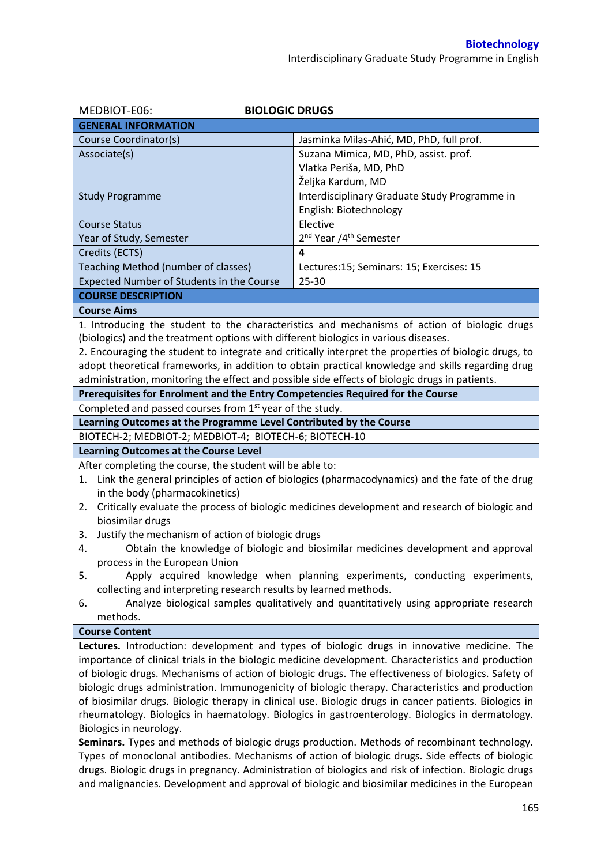| MEDBIOT-E06:<br><b>BIOLOGIC DRUGS</b>                                                                  |                                                                                                       |  |  |
|--------------------------------------------------------------------------------------------------------|-------------------------------------------------------------------------------------------------------|--|--|
| <b>GENERAL INFORMATION</b>                                                                             |                                                                                                       |  |  |
| Course Coordinator(s)                                                                                  | Jasminka Milas-Ahić, MD, PhD, full prof.                                                              |  |  |
| Associate(s)                                                                                           | Suzana Mimica, MD, PhD, assist. prof.                                                                 |  |  |
|                                                                                                        | Vlatka Periša, MD, PhD                                                                                |  |  |
|                                                                                                        | Željka Kardum, MD                                                                                     |  |  |
| <b>Study Programme</b>                                                                                 | Interdisciplinary Graduate Study Programme in                                                         |  |  |
|                                                                                                        | English: Biotechnology                                                                                |  |  |
| <b>Course Status</b>                                                                                   | Elective                                                                                              |  |  |
| Year of Study, Semester                                                                                | 2 <sup>nd</sup> Year /4 <sup>th</sup> Semester                                                        |  |  |
| Credits (ECTS)                                                                                         | 4                                                                                                     |  |  |
| Teaching Method (number of classes)                                                                    | Lectures:15; Seminars: 15; Exercises: 15                                                              |  |  |
| Expected Number of Students in the Course                                                              | 25-30                                                                                                 |  |  |
| <b>COURSE DESCRIPTION</b>                                                                              |                                                                                                       |  |  |
| <b>Course Aims</b>                                                                                     |                                                                                                       |  |  |
|                                                                                                        | 1. Introducing the student to the characteristics and mechanisms of action of biologic drugs          |  |  |
| (biologics) and the treatment options with different biologics in various diseases.                    |                                                                                                       |  |  |
|                                                                                                        | 2. Encouraging the student to integrate and critically interpret the properties of biologic drugs, to |  |  |
|                                                                                                        | adopt theoretical frameworks, in addition to obtain practical knowledge and skills regarding drug     |  |  |
| administration, monitoring the effect and possible side effects of biologic drugs in patients.         |                                                                                                       |  |  |
| Prerequisites for Enrolment and the Entry Competencies Required for the Course                         |                                                                                                       |  |  |
| Completed and passed courses from 1 <sup>st</sup> year of the study.                                   |                                                                                                       |  |  |
| Learning Outcomes at the Programme Level Contributed by the Course                                     |                                                                                                       |  |  |
| BIOTECH-2; MEDBIOT-2; MEDBIOT-4; BIOTECH-6; BIOTECH-10                                                 |                                                                                                       |  |  |
| Learning Outcomes at the Course Level                                                                  |                                                                                                       |  |  |
| After completing the course, the student will be able to:                                              |                                                                                                       |  |  |
| 1.                                                                                                     | Link the general principles of action of biologics (pharmacodynamics) and the fate of the drug        |  |  |
| in the body (pharmacokinetics)                                                                         |                                                                                                       |  |  |
| 2.                                                                                                     | Critically evaluate the process of biologic medicines development and research of biologic and        |  |  |
| biosimilar drugs                                                                                       |                                                                                                       |  |  |
| Justify the mechanism of action of biologic drugs<br>3.                                                |                                                                                                       |  |  |
| 4.                                                                                                     | Obtain the knowledge of biologic and biosimilar medicines development and approval                    |  |  |
| process in the European Union                                                                          |                                                                                                       |  |  |
| 5.                                                                                                     | Apply acquired knowledge when planning experiments, conducting experiments,                           |  |  |
| collecting and interpreting research results by learned methods.                                       |                                                                                                       |  |  |
| 6.                                                                                                     | Analyze biological samples qualitatively and quantitatively using appropriate research                |  |  |
| methods.                                                                                               |                                                                                                       |  |  |
| <b>Course Content</b>                                                                                  |                                                                                                       |  |  |
|                                                                                                        | Lectures. Introduction: development and types of biologic drugs in innovative medicine. The           |  |  |
|                                                                                                        | importance of clinical trials in the biologic medicine development. Characteristics and production    |  |  |
| of biologic drugs. Mechanisms of action of biologic drugs. The effectiveness of biologics. Safety of   |                                                                                                       |  |  |
| biologic drugs administration. Immunogenicity of biologic therapy. Characteristics and production      |                                                                                                       |  |  |
| of biosimilar drugs. Biologic therapy in clinical use. Biologic drugs in cancer patients. Biologics in |                                                                                                       |  |  |
| rheumatology. Biologics in haematology. Biologics in gastroenterology. Biologics in dermatology.       |                                                                                                       |  |  |
| Biologics in neurology.                                                                                |                                                                                                       |  |  |
|                                                                                                        | Seminars. Types and methods of biologic drugs production. Methods of recombinant technology.          |  |  |
| Types of monoclonal antibodies. Mechanisms of action of biologic drugs. Side effects of biologic       |                                                                                                       |  |  |
| drugs. Biologic drugs in pregnancy. Administration of biologics and risk of infection. Biologic drugs  |                                                                                                       |  |  |

and malignancies. Development and approval of biologic and biosimilar medicines in the European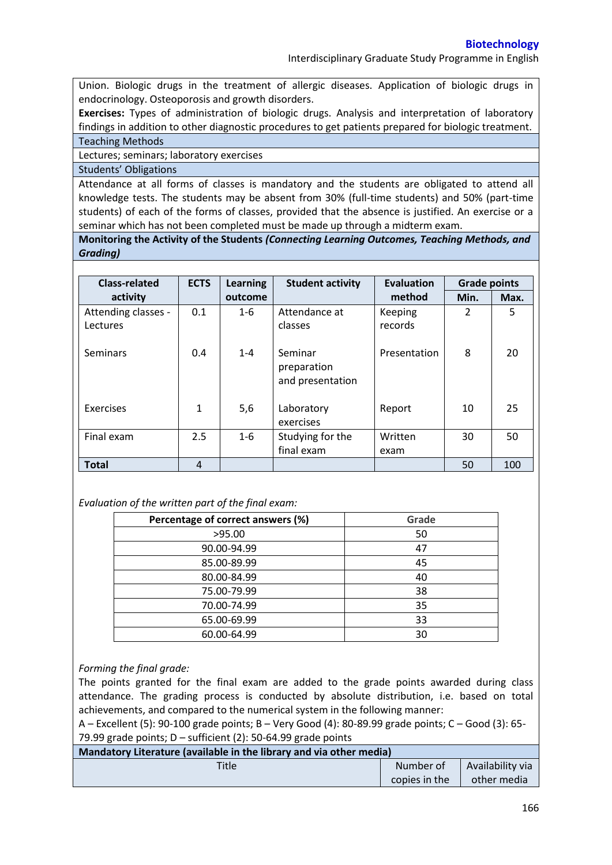Union. Biologic drugs in the treatment of allergic diseases. Application of biologic drugs in endocrinology. Osteoporosis and growth disorders.

**Exercises:** Types of administration of biologic drugs. Analysis and interpretation of laboratory findings in addition to other diagnostic procedures to get patients prepared for biologic treatment. Teaching Methods

Lectures; seminars; laboratory exercises

Students' Obligations

Attendance at all forms of classes is mandatory and the students are obligated to attend all knowledge tests. The students may be absent from 30% (full-time students) and 50% (part-time students) of each of the forms of classes, provided that the absence is justified. An exercise or a seminar which has not been completed must be made up through a midterm exam.

**Monitoring the Activity of the Students** *(Connecting Learning Outcomes, Teaching Methods, and Grading)*

| <b>Class-related</b>            | <b>ECTS</b>  | <b>Learning</b> | <b>Student activity</b>                    | <b>Evaluation</b>  | <b>Grade points</b> |      |
|---------------------------------|--------------|-----------------|--------------------------------------------|--------------------|---------------------|------|
| activity                        |              | outcome         |                                            | method             | Min.                | Max. |
| Attending classes -<br>Lectures | 0.1          | $1 - 6$         | Attendance at<br>classes                   | Keeping<br>records | $\overline{2}$      | 5    |
| <b>Seminars</b>                 | 0.4          | $1 - 4$         | Seminar<br>preparation<br>and presentation | Presentation       | 8                   | 20   |
| Exercises                       | $\mathbf{1}$ | 5,6             | Laboratory<br>exercises                    | Report             | 10                  | 25   |
| Final exam                      | 2.5          | $1 - 6$         | Studying for the<br>final exam             | Written<br>exam    | 30                  | 50   |
| <b>Total</b>                    | 4            |                 |                                            |                    | 50                  | 100  |

*Evaluation of the written part of the final exam:*

| Percentage of correct answers (%) | Grade |
|-----------------------------------|-------|
| >95.00                            | 50    |
| 90.00-94.99                       | 47    |
| 85.00-89.99                       | 45    |
| 80.00-84.99                       | 40    |
| 75.00-79.99                       | 38    |
| 70.00-74.99                       | 35    |
| 65.00-69.99                       | 33    |
| 60.00-64.99                       | 30    |

## *Forming the final grade:*

The points granted for the final exam are added to the grade points awarded during class attendance. The grading process is conducted by absolute distribution, i.e. based on total achievements, and compared to the numerical system in the following manner:

A – Excellent (5): 90-100 grade points; B – Very Good (4): 80-89.99 grade points; C – Good (3): 65- 79.99 grade points; D – sufficient (2): 50-64.99 grade points

| Mandatory Literature (available in the library and via other media) |               |                  |  |  |
|---------------------------------------------------------------------|---------------|------------------|--|--|
| <b>Title</b>                                                        | Number of     | Availability via |  |  |
|                                                                     | copies in the | other media      |  |  |